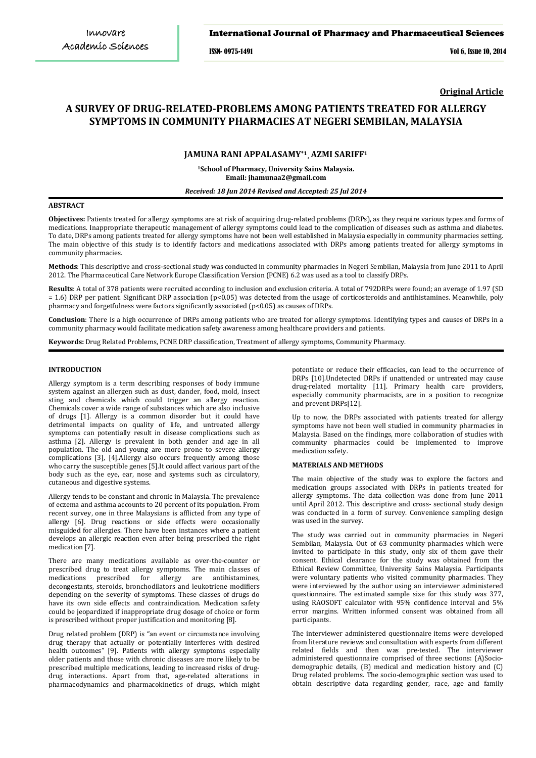### International Journal of Pharmacy and Pharmaceutical Sciences

ISSN- 0975-1491 Vol 6, Issue 10, 2014

**Original Article**

# **A SURVEY OF DRUG-RELATED-PROBLEMS AMONG PATIENTS TREATED FOR ALLERGY SYMPTOMS IN COMMUNITY PHARMACIES AT NEGERI SEMBILAN, MALAYSIA**

# **JAMUNA RANI APPALASAMY\*1, AZMI SARIFF1**

**1 School of Pharmacy, University Sains Malaysia. [jhamunaa2@gmail.com](mailto:jhamunaa2@gmail.com) Email:** 

#### *Received: 18 Jun 2014 Revised and Accepted: 25 Jul 2014*

# **ABSTRACT**

**Objectives:** Patients treated for allergy symptoms are at risk of acquiring drug-related problems (DRPs), as they require various types and forms of medications. Inappropriate therapeutic management of allergy symptoms could lead to the complication of diseases such as asthma and diabetes. To date, DRPs among patients treated for allergy symptoms have not been well established in Malaysia especially in community pharmacies setting. The main objective of this study is to identify factors and medications associated with DRPs among patients treated for allergy symptoms in community pharmacies.

**Methods**: This descriptive and cross-sectional study was conducted in community pharmacies in Negeri Sembilan, Malaysia from June 2011 to April 2012. The Pharmaceutical Care Network Europe Classification Version (PCNE) 6.2 was used as a tool to classify DRPs.

**Results**: A total of 378 patients were recruited according to inclusion and exclusion criteria. A total of 792DRPs were found; an average of 1.97 (SD  $= 1.6$ ) DRP per patient. Significant DRP association (p<0.05) was detected from the usage of corticosteroids and antihistamines. Meanwhile, poly pharmacy and forgetfulness were factors significantly associated ( $p<0.05$ ) as causes of DRPs.

**Conclusion**: There is a high occurrence of DRPs among patients who are treated for allergy symptoms. Identifying types and causes of DRPs in a community pharmacy would facilitate medication safety awareness among healthcare providers and patients.

**Keywords:** Drug Related Problems, PCNE DRP classification, Treatment of allergy symptoms, Community Pharmacy.

# **INTRODUCTION**

Allergy symptom is a term describing responses of body immune system against an allergen such as dust, dander, food, mold, insect sting and chemicals which could trigger an allergy reaction. Chemicals cover a wide range of substances which are also inclusive of drugs [1]. Allergy is a common disorder but it could have detrimental impacts on quality of life, and untreated allergy symptoms can potentially result in disease complications such as asthma [2]. Allergy is prevalent in both gender and age in all population. The old and young are more prone to severe allergy complications [3], [4].Allergy also occurs frequently among those who carry the susceptible genes [5].It could affect various part of the body such as the eye, ear, nose and systems such as circulatory, cutaneous and digestive systems.

Allergy tends to be constant and chronic in Malaysia. The prevalence of eczema and asthma accounts to 20 percent of its population. From recent survey, one in three Malaysians is afflicted from any type of allergy [6]. Drug reactions or side effects were occasionally misguided for allergies. There have been instances where a patient develops an allergic reaction even after being prescribed the right medication [7].

There are many medications available as over-the-counter or prescribed drug to treat allergy symptoms. The main classes of medications prescribed for allergy are antihistamines, decongestants, steroids, bronchodilators and leukotriene modifiers depending on the severity of symptoms. These classes of drugs do have its own side effects and contraindication. Medication safety could be jeopardized if inappropriate drug dosage of choice or form is prescribed without proper justification and monitoring [8].

Drug related problem (DRP) is "an event or circumstance involving drug therapy that actually or potentially interferes with desired health outcomes" [\[9\].](http://www.plosone.org/article/info%3Adoi%2F10.1371%2Fjournal.pone.0086215#pone.0086215-Pharmaceutical1) Patients with allergy symptoms especially older patients and those with chronic diseases are more likely to be prescribed multiple medications, leading to increased risks of drugdrug interactions. Apart from that, age-related alterations in pharmacodynamics and pharmacokinetics of drugs, which might potentiate or reduce their efficacies, can lead to the occurrence of DRPs [\[10\].U](http://www.plosone.org/article/info%3Adoi%2F10.1371%2Fjournal.pone.0086215#pone.0086215-Mizokami1)ndetected DRPs if unattended or untreated may cause drug-related mortality [\[11\].](http://www.plosone.org/article/info%3Adoi%2F10.1371%2Fjournal.pone.0086215#pone.0086215-PageII1) Primary health care providers, especially community pharmacists, are in a position to recognize and prevent DRP[s\[12\].](http://www.plosone.org/article/info%3Adoi%2F10.1371%2Fjournal.pone.0086215#pone.0086215-Planas1)

Up to now, the DRPs associated with patients treated for allergy symptoms have not been well studied in community pharmacies in Malaysia. Based on the findings, more collaboration of studies with community pharmacies could be implemented to improve medication safety.

#### **MATERIALS AND METHODS**

The main objective of the study was to explore the factors and medication groups associated with DRPs in patients treated for allergy symptoms. The data collection was done from June 2011 until April 2012. This descriptive and cross- sectional study design was conducted in a form of survey. Convenience sampling design was used in the survey.

The study was carried out in community pharmacies in Negeri Sembilan, Malaysia. Out of 63 community pharmacies which were invited to participate in this study, only six of them gave their consent. Ethical clearance for the study was obtained from the Ethical Review Committee, University Sains Malaysia. Participants were voluntary patients who visited community pharmacies. They were interviewed by the author using an interviewer administered questionnaire. The estimated sample size for this study was 377, using RAOSOFT calculator with 95% confidence interval and 5% error margins. Written informed consent was obtained from all participants.

The interviewer administered questionnaire items were developed from literature reviews and consultation with experts from different related fields and then was pre-tested. The interviewer administered questionnaire comprised of three sections: (A)Sociodemographic details, (B) medical and medication history and (C) Drug related problems. The socio-demographic section was used to obtain descriptive data regarding gender, race, age and family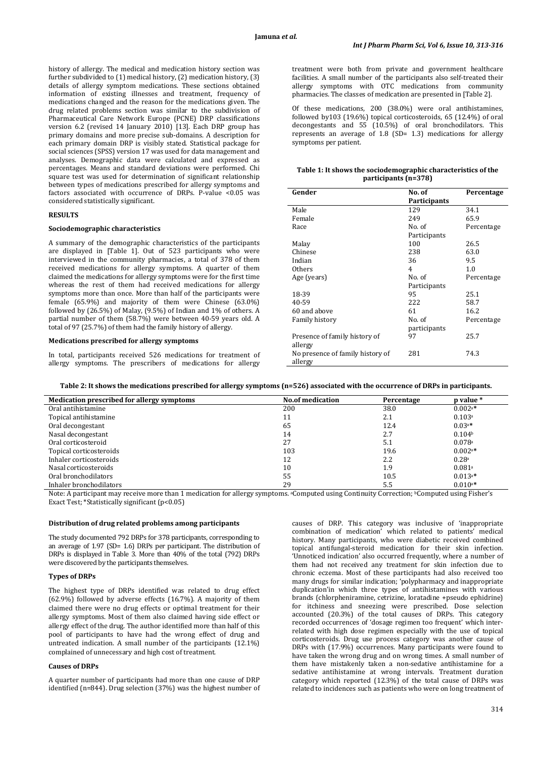history of allergy. The medical and medication history section was further subdivided to (1) medical history, (2) medication history, (3) details of allergy symptom medications. These sections obtained information of existing illnesses and treatment, frequency of medications changed and the reason for the medications given. The drug related problems section was similar to the subdivision of Pharmaceutical Care Network Europe (PCNE) DRP classifications version 6.2 (revised 14 January 2010) [\[13\].](http://www.plosone.org/article/info%3Adoi%2F10.1371%2Fjournal.pone.0086215#pone.0086215-Pharmaceutical1) Each DRP group has primary domains and more precise sub-domains. A description for each primary domain DRP is visibly stated. Statistical package for social sciences (SPSS) version 17 was used for data management and analyses. Demographic data were calculated and expressed as percentages. Means and standard deviations were performed. Chi square test was used for determination of significant relationship between types of medications prescribed for allergy symptoms and factors associated with occurrence of DRPs. P-value <0.05 was considered statistically significant.

# **RESULTS**

#### **Sociodemographic characteristics**

A summary of the demographic characteristics of the participants are displayed in [Table 1]. Out of 523 participants who were interviewed in the community pharmacies, a total of 378 of them received medications for allergy symptoms. A quarter of them claimed the medications for allergy symptoms were for the first time whereas the rest of them had received medications for allergy symptoms more than once. More than half of the participants were female (65.9%) and majority of them were Chinese (63.0%) followed by (26.5%) of Malay, (9.5%) of Indian and 1% of others. A partial number of them (58.7%) were between 40-59 years old. A total of 97 (25.7%) of them had the family history of allergy.

# **Medications prescribed for allergy symptoms**

In total, participants received 526 medications for treatment of allergy symptoms. The prescribers of medications for allergy

treatment were both from private and government healthcare facilities. A small number of the participants also self-treated their allergy symptoms with OTC medications from community pharmacies. The classes of medication are presented in [Table 2].

Of these medications, 200 (38.0%) were oral antihistamines, followed by103 (19.6%) topical corticosteroids, 65 (12.4%) of oral decongestants and 55 (10.5%) of oral bronchodilators. This represents an average of 1.8 (SD= 1.3) medications for allergy symptoms per patient.

#### **Table 1: It shows the sociodemographic characteristics of the participants (n=378)**

| Gender                           | No. of       | Percentage |
|----------------------------------|--------------|------------|
|                                  | Participants |            |
| Male                             | 129          | 34.1       |
| Female                           | 249          | 65.9       |
| Race                             | No. of       | Percentage |
|                                  | Participants |            |
| Malay                            | 100          | 26.5       |
| Chinese                          | 238          | 63.0       |
| Indian                           | 36           | 9.5        |
| <b>Others</b>                    | 4            | 1.0        |
| Age (years)                      | No. of       | Percentage |
|                                  | Participants |            |
| 18-39                            | 95           | 25.1       |
| 40-59                            | 222          | 58.7       |
| 60 and above                     | 61           | 16.2       |
| Family history                   | No. of       | Percentage |
|                                  | participants |            |
| Presence of family history of    | 97           | 25.7       |
| allergy                          |              |            |
| No presence of family history of | 281          | 74.3       |
| allergy                          |              |            |

|  | Table 2: It shows the medications prescribed for allergy symptoms (n=526) associated with the occurrence of DRPs in participants. |  |
|--|-----------------------------------------------------------------------------------------------------------------------------------|--|
|  |                                                                                                                                   |  |

| <b>Medication prescribed for allergy symptoms</b> | <b>No.of medication</b> | Percentage | p value *             |
|---------------------------------------------------|-------------------------|------------|-----------------------|
| Oral antihistamine                                | 200                     | 38.0       | $0.002$ <sup>a*</sup> |
| Topical antihistamine                             | 11                      | 2.1        | 0.103a                |
| Oral decongestant                                 | 65                      | 12.4       | $0.03a*$              |
| Nasal decongestant                                | 14                      | 2.7        | 0.104 <sup>b</sup>    |
| Oral corticosteroid                               | 27                      | 5.1        | $0.078$ <sup>a</sup>  |
| Topical corticosteroids                           | 103                     | 19.6       | $0.002$ <sup>a*</sup> |
| Inhaler corticosteroids                           | 12                      | 2.2        | 0.28 <sup>a</sup>     |
| Nasal corticosteroids                             | 10                      | 1.9        | 0.081a                |
| Oral bronchodilators                              | 55                      | 10.5       | $0.013a*$             |
| Inhaler bronchodilators                           | 29                      | 5.5        | $0.010$ <sup>*</sup>  |

Note: A participant may receive more than 1 medication for allergy symptoms. <sup>a</sup>Computed using Continuity Correction; <sup>b</sup>Computed using Fisher's Exact Test; \*Statistically significant (p<0.05)

#### **Distribution of drug related problems among participants**

The study documented 792 DRPs for 378 participants, corresponding to an average of 1.97 (SD= 1.6) DRPs per participant. The distribution of DRPs is displayed in Table 3. More than 40% of the total (792) DRPs were discovered by the participants themselves.

# **Types of DRPs**

The highest type of DRPs identified was related to drug effect (62.9%) followed by adverse effects (16.7%). A majority of them claimed there were no drug effects or optimal treatment for their allergy symptoms. Most of them also claimed having side effect or allergy effect of the drug. The author identified more than half of this pool of participants to have had the wrong effect of drug and untreated indication. A small number of the participants (12.1%) complained of unnecessary and high cost of treatment.

### **Causes of DRPs**

A quarter number of participants had more than one cause of DRP identified (n=844). Drug selection (37%) was the highest number of causes of DRP. This category was inclusive of 'inappropriate combination of medication' which related to patients' medical history. Many participants, who were diabetic received combined topical antifungal-steroid medication for their skin infection. 'Unnoticed indication' also occurred frequently, where a number of them had not received any treatment for skin infection due to chronic eczema. Most of these participants had also received too many drugs for similar indication; 'polypharmacy and inappropriate duplication'in which three types of antihistamines with various brands (chlorpheniramine, cetrizine, loratadine +pseudo ephidrine) for itchiness and sneezing were prescribed. Dose selection accounted (20.3%) of the total causes of DRPs. This category recorded occurrences of 'dosage regimen too frequent' which interrelated with high dose regimen especially with the use of topical corticosteroids. Drug use process category was another cause of DRPs with (17.9%) occurrences. Many participants were found to have taken the wrong drug and on wrong times. A small number of them have mistakenly taken a non-sedative antihistamine for a sedative antihistamine at wrong intervals. Treatment duration category which reported (12.3%) of the total cause of DRPs was related to incidences such as patients who were on long treatment of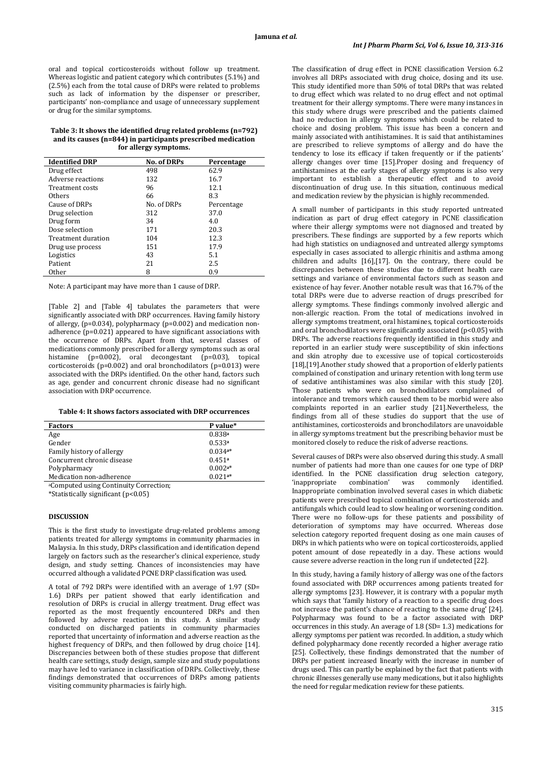oral and topical corticosteroids without follow up treatment. Whereas logistic and patient category which contributes (5.1%) and (2.5%) each from the total cause of DRPs were related to problems such as lack of information by the dispenser or prescriber, participants' non-compliance and usage of unnecessary supplement or drug for the similar symptoms.

| Table 3: It shows the identified drug related problems (n=792) |
|----------------------------------------------------------------|
| and its causes (n=844) in participants prescribed medication   |
| for allergy symptoms.                                          |

| <b>Identified DRP</b> | <b>No. of DRPs</b> | Percentage |
|-----------------------|--------------------|------------|
| Drug effect           | 498                | 62.9       |
| Adverse reactions     | 132                | 16.7       |
| Treatment costs       | 96                 | 12.1       |
| <b>Others</b>         | 66                 | 8.3        |
| Cause of DRPs         | No. of DRPs        | Percentage |
| Drug selection        | 312                | 37.0       |
| Drug form             | 34                 | 4.0        |
| Dose selection        | 171                | 20.3       |
| Treatment duration    | 104                | 12.3       |
| Drug use process      | 151                | 17.9       |
| Logistics             | 43                 | 5.1        |
| Patient               | 21                 | 2.5        |
| Other                 | 8                  | 0.9        |

Note: A participant may have more than 1 cause of DRP.

[Table 2] and [Table 4] tabulates the parameters that were significantly associated with DRP occurrences. Having family history of allergy, (p=0.034), polypharmacy (p=0.002) and medication nonadherence (p=0.021) appeared to have significant associations with the occurrence of DRPs. Apart from that, several classes of medications commonly prescribed for allergy symptoms such as oral histamine (p=0.002), oral decongestant (p=0.03), topical corticosteroids  $(p=0.002)$  and oral bronchodilators  $(p=0.013)$  were associated with the DRPs identified. On the other hand, factors such as age, gender and concurrent chronic disease had no significant association with DRP occurrence.

|  |  | Table 4: It shows factors associated with DRP occurrences |
|--|--|-----------------------------------------------------------|
|  |  |                                                           |

| <b>Factors</b>                         | P value*           |
|----------------------------------------|--------------------|
| Age                                    | 0.838 <sup>a</sup> |
| Gender                                 | 0.533a             |
| Family history of allergy              | $0.034a*$          |
| Concurrent chronic disease             | 0.451a             |
| Polypharmacy                           | $0.002a*$          |
| Medication non-adherence               | $0.021a*$          |
| aComputed using Continuity Correction: |                    |

aComputed using Continuity Correction;

\*Statistically significant (p<0.05)

# **DISCUSSION**

This is the first study to investigate drug-related problems among patients treated for allergy symptoms in community pharmacies in Malaysia. In this study, DRPs classification and identification depend largely on factors such as the researcher's clinical experience, study design, and study setting. Chances of inconsistencies may have occurred [although a validated PCNE DRP classification was used.](http://www.plosone.org/article/info%3Adoi%2F10.1371%2Fjournal.pone.0086215#pone.0086215-Bjrkman1)

A total of 792 DRPs were identified with an average of 1.97 (SD= 1.6) DRPs per patient showed that early identification and resolution of DRPs is crucial in allergy treatment. Drug effect was reported as the most frequently encountered DRPs and then followed by adverse reaction in this study. A similar study conducted on discharged patients in community pharmacies reported that uncertainty of information and adverse reaction as the highest frequency of DRPs, and then followed by drug choice [\[14\].](http://www.plosone.org/article/info%3Adoi%2F10.1371%2Fjournal.pone.0086215#pone.0086215-Chan1)  Discrepancies between both of these studies propose that different health care settings, study design, sample size and study populations may have led to variance in classification of DRPs. Collectively, these findings demonstrated that occurrences of DRPs among patients visiting community pharmacies is fairly high.

The classification of drug effect in PCNE classification Version 6.2 involves all DRPs associated with drug choice, dosing and its use. This study identified more than 50% of total DRPs that was related to drug effect which was related to no drug effect and not optimal treatment for their allergy symptoms. There were many instances in this study where drugs were prescribed and the patients claimed had no reduction in allergy symptoms which could be related to choice and dosing problem. This issue has been a concern and mainly associated with antihistamines. It is said that antihistamines are prescribed to relieve symptoms of allergy and do have the tendency to lose its efficacy if taken frequently or if the patients' allergy changes over time [15].Proper dosing and frequency of antihistamines at the early stages of allergy symptoms is also very important to establish a therapeutic effect and to avoid discontinuation of drug use. In this situation, continuous medical and medication review by the physician is highly recommended.

A small number of participants in this study reported untreated indication as part of drug effect category in PCNE classification where their allergy symptoms were not diagnosed and treated by prescribers. These findings are supported by a few reports which had high statistics on undiagnosed and untreated allergy symptoms especially in cases associated to allergic rhinitis and asthma among children and adults [16],[17]. On the contrary, there could be discrepancies between these studies due to different health care settings and variance of environmental factors such as season and existence of hay fever. Another notable result was that 16.7% of the total DRPs were due to adverse reaction of drugs prescribed for allergy symptoms. These findings commonly involved allergic and non-allergic reaction. From the total of medications involved in allergy symptoms treatment, oral histamines, topical corticosteroids and oral bronchodilators were significantly associated ( $p$ <0.05) with DRPs. The adverse reactions frequently identified in this study and reported in an earlier study were susceptibility of skin infections and skin atrophy due to excessive use of topical corticosteroids [18],[19].Another study showed that a proportion of elderly patients complained of constipation and urinary retention with long term use of sedative antihistamines was also similar with this study [20]. Those patients who were on bronchodilators complained of intolerance and tremors which caused them to be morbid were also complaints reported in an earlier study [21].Nevertheless, the findings from all of these studies do support that the use of antihistamines, corticosteroids and bronchodilators are unavoidable in allergy symptoms treatment but the prescribing behavior must be monitored closely to reduce the risk of adverse reactions.

Several causes of DRPs were also observed during this study. A small number of patients had more than one causes for one type of DRP identified. In the PCNE classification drug selection category,<br>
'inappropriate combination' was commonly identified. 'inappropriate combination' was commonly identified. Inappropriate combination involved several cases in which diabetic patients were prescribed topical combination of corticosteroids and antifungals which could lead to slow healing or worsening condition. There were no follow-ups for these patients and possibility of deterioration of symptoms may have occurred. Whereas dose selection category reported frequent dosing as one main causes of DRPs in which patients who were on topical corticosteroids, applied potent amount of dose repeatedly in a day. These actions would cause severe adverse reaction in the long run if undetected [22].

In this study, having a family history of allergy was one of the factors found associated with DRP occurrences among patients treated for allergy symptoms [23]. However, it is contrary with a popular myth which says that 'family history of a reaction to a specific drug does not increase the patient's chance of reacting to the same drug' [24]. Polypharmacy was found to be a factor associated with DRP occurrences in this study. An average of 1.8 (SD= 1.3) medications for allergy symptoms per patient was recorded. In addition, a study which defined polypharmacy done recently recorded a higher average ratio [25]. Collectively, these findings demonstrated that the number of DRPs per patient increased linearly with the increase in number of drugs used. This can partly be explained by the fact that patients with chronic illnesses generally use many medications, but it also highlights the need for regular medication review for these patients.